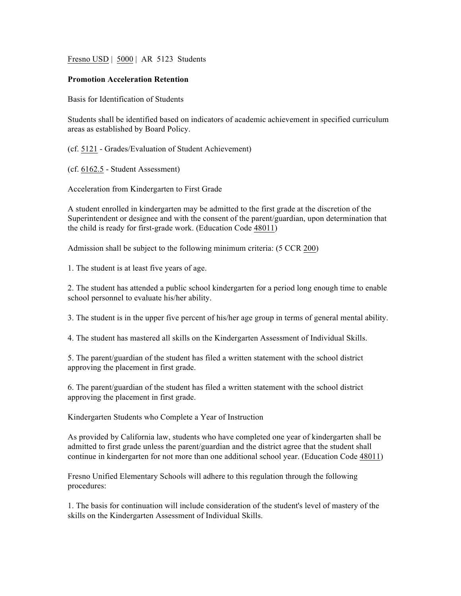Fresno USD | 5000 | AR 5123 Students

## **Promotion Acceleration Retention**

Basis for Identification of Students

Students shall be identified based on indicators of academic achievement in specified curriculum areas as established by Board Policy.

(cf. 5121 - Grades/Evaluation of Student Achievement)

(cf. 6162.5 - Student Assessment)

Acceleration from Kindergarten to First Grade

A student enrolled in kindergarten may be admitted to the first grade at the discretion of the Superintendent or designee and with the consent of the parent/guardian, upon determination that the child is ready for first-grade work. (Education Code 48011)

Admission shall be subject to the following minimum criteria: (5 CCR 200)

1. The student is at least five years of age.

2. The student has attended a public school kindergarten for a period long enough time to enable school personnel to evaluate his/her ability.

3. The student is in the upper five percent of his/her age group in terms of general mental ability.

4. The student has mastered all skills on the Kindergarten Assessment of Individual Skills.

5. The parent/guardian of the student has filed a written statement with the school district approving the placement in first grade.

6. The parent/guardian of the student has filed a written statement with the school district approving the placement in first grade.

Kindergarten Students who Complete a Year of Instruction

As provided by California law, students who have completed one year of kindergarten shall be admitted to first grade unless the parent/guardian and the district agree that the student shall continue in kindergarten for not more than one additional school year. (Education Code 48011)

Fresno Unified Elementary Schools will adhere to this regulation through the following procedures:

1. The basis for continuation will include consideration of the student's level of mastery of the skills on the Kindergarten Assessment of Individual Skills.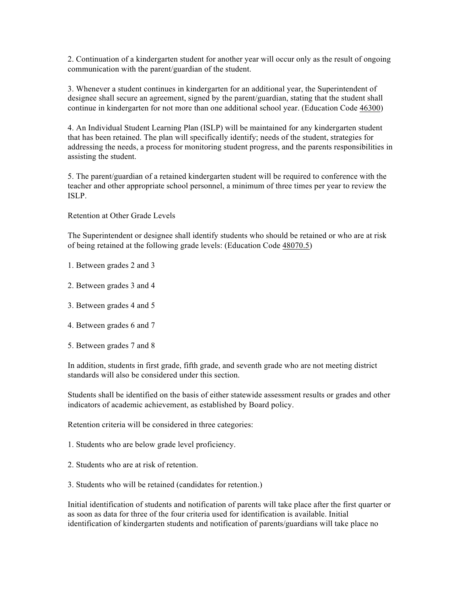2. Continuation of a kindergarten student for another year will occur only as the result of ongoing communication with the parent/guardian of the student.

3. Whenever a student continues in kindergarten for an additional year, the Superintendent of designee shall secure an agreement, signed by the parent/guardian, stating that the student shall continue in kindergarten for not more than one additional school year. (Education Code 46300)

4. An Individual Student Learning Plan (ISLP) will be maintained for any kindergarten student that has been retained. The plan will specifically identify; needs of the student, strategies for addressing the needs, a process for monitoring student progress, and the parents responsibilities in assisting the student.

5. The parent/guardian of a retained kindergarten student will be required to conference with the teacher and other appropriate school personnel, a minimum of three times per year to review the ISLP.

Retention at Other Grade Levels

The Superintendent or designee shall identify students who should be retained or who are at risk of being retained at the following grade levels: (Education Code 48070.5)

- 1. Between grades 2 and 3
- 2. Between grades 3 and 4
- 3. Between grades 4 and 5
- 4. Between grades 6 and 7
- 5. Between grades 7 and 8

In addition, students in first grade, fifth grade, and seventh grade who are not meeting district standards will also be considered under this section.

Students shall be identified on the basis of either statewide assessment results or grades and other indicators of academic achievement, as established by Board policy.

Retention criteria will be considered in three categories:

- 1. Students who are below grade level proficiency.
- 2. Students who are at risk of retention.
- 3. Students who will be retained (candidates for retention.)

Initial identification of students and notification of parents will take place after the first quarter or as soon as data for three of the four criteria used for identification is available. Initial identification of kindergarten students and notification of parents/guardians will take place no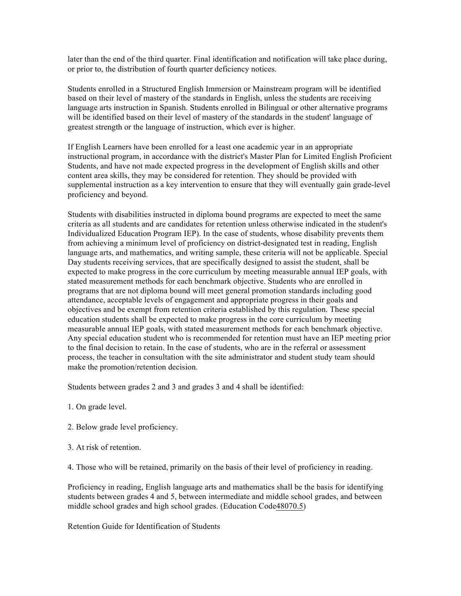later than the end of the third quarter. Final identification and notification will take place during, or prior to, the distribution of fourth quarter deficiency notices.

Students enrolled in a Structured English Immersion or Mainstream program will be identified based on their level of mastery of the standards in English, unless the students are receiving language arts instruction in Spanish. Students enrolled in Bilingual or other alternative programs will be identified based on their level of mastery of the standards in the student' language of greatest strength or the language of instruction, which ever is higher.

If English Learners have been enrolled for a least one academic year in an appropriate instructional program, in accordance with the district's Master Plan for Limited English Proficient Students, and have not made expected progress in the development of English skills and other content area skills, they may be considered for retention. They should be provided with supplemental instruction as a key intervention to ensure that they will eventually gain grade-level proficiency and beyond.

Students with disabilities instructed in diploma bound programs are expected to meet the same criteria as all students and are candidates for retention unless otherwise indicated in the student's Individualized Education Program IEP). In the case of students, whose disability prevents them from achieving a minimum level of proficiency on district-designated test in reading, English language arts, and mathematics, and writing sample, these criteria will not be applicable. Special Day students receiving services, that are specifically designed to assist the student, shall be expected to make progress in the core curriculum by meeting measurable annual IEP goals, with stated measurement methods for each benchmark objective. Students who are enrolled in programs that are not diploma bound will meet general promotion standards including good attendance, acceptable levels of engagement and appropriate progress in their goals and objectives and be exempt from retention criteria established by this regulation. These special education students shall be expected to make progress in the core curriculum by meeting measurable annual IEP goals, with stated measurement methods for each benchmark objective. Any special education student who is recommended for retention must have an IEP meeting prior to the final decision to retain. In the case of students, who are in the referral or assessment process, the teacher in consultation with the site administrator and student study team should make the promotion/retention decision.

Students between grades 2 and 3 and grades 3 and 4 shall be identified:

- 1. On grade level.
- 2. Below grade level proficiency.
- 3. At risk of retention.

4. Those who will be retained, primarily on the basis of their level of proficiency in reading.

Proficiency in reading, English language arts and mathematics shall be the basis for identifying students between grades 4 and 5, between intermediate and middle school grades, and between middle school grades and high school grades. (Education Code48070.5)

Retention Guide for Identification of Students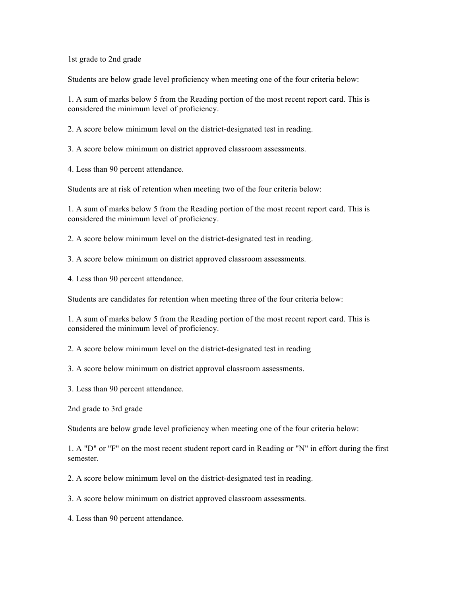1st grade to 2nd grade

Students are below grade level proficiency when meeting one of the four criteria below:

1. A sum of marks below 5 from the Reading portion of the most recent report card. This is considered the minimum level of proficiency.

2. A score below minimum level on the district-designated test in reading.

3. A score below minimum on district approved classroom assessments.

4. Less than 90 percent attendance.

Students are at risk of retention when meeting two of the four criteria below:

1. A sum of marks below 5 from the Reading portion of the most recent report card. This is considered the minimum level of proficiency.

2. A score below minimum level on the district-designated test in reading.

3. A score below minimum on district approved classroom assessments.

4. Less than 90 percent attendance.

Students are candidates for retention when meeting three of the four criteria below:

1. A sum of marks below 5 from the Reading portion of the most recent report card. This is considered the minimum level of proficiency.

2. A score below minimum level on the district-designated test in reading

3. A score below minimum on district approval classroom assessments.

3. Less than 90 percent attendance.

2nd grade to 3rd grade

Students are below grade level proficiency when meeting one of the four criteria below:

1. A "D" or "F" on the most recent student report card in Reading or "N" in effort during the first semester.

2. A score below minimum level on the district-designated test in reading.

3. A score below minimum on district approved classroom assessments.

4. Less than 90 percent attendance.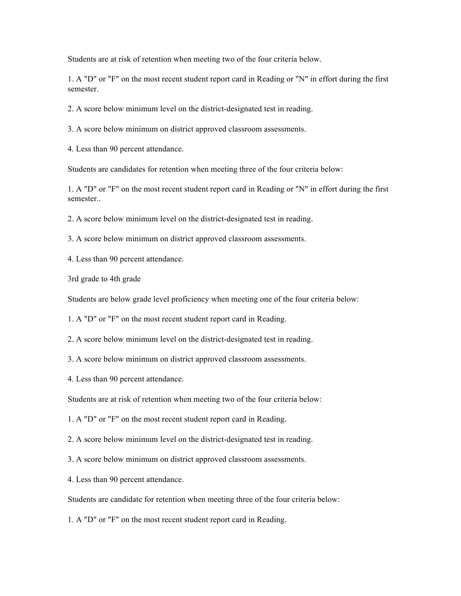Students are at risk of retention when meeting two of the four criteria below.

1. A "D" or "F" on the most recent student report card in Reading or "N" in effort during the first semester.

2. A score below minimum level on the district-designated test in reading.

3. A score below minimum on district approved classroom assessments.

4. Less than 90 percent attendance.

Students are candidates for retention when meeting three of the four criteria below:

1. A "D" or "F" on the most recent student report card in Reading or "N" in effort during the first semester..

2. A score below minimum level on the district-designated test in reading.

3. A score below minimum on district approved classroom assessments.

4. Less than 90 percent attendance.

3rd grade to 4th grade

Students are below grade level proficiency when meeting one of the four criteria below:

1. A "D" or "F" on the most recent student report card in Reading.

2. A score below minimum level on the district-designated test in reading.

3. A score below minimum on district approved classroom assessments.

4. Less than 90 percent attendance.

Students are at risk of retention when meeting two of the four criteria below:

1. A "D" or "F" on the most recent student report card in Reading.

2. A score below minimum level on the district-designated test in reading.

3. A score below minimum on district approved classroom assessments.

4. Less than 90 percent attendance.

Students are candidate for retention when meeting three of the four criteria below:

1. A "D" or "F" on the most recent student report card in Reading.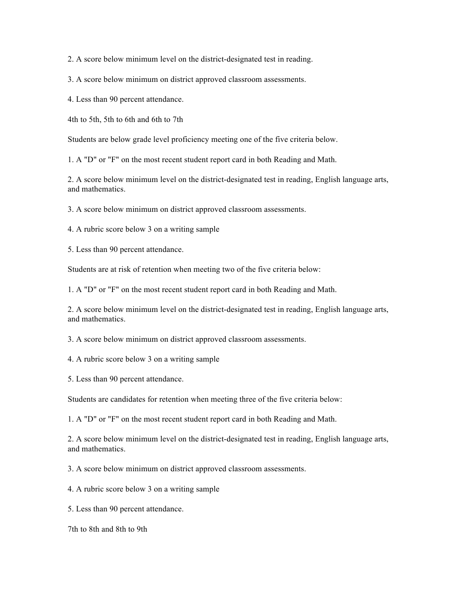2. A score below minimum level on the district-designated test in reading.

3. A score below minimum on district approved classroom assessments.

4. Less than 90 percent attendance.

4th to 5th, 5th to 6th and 6th to 7th

Students are below grade level proficiency meeting one of the five criteria below.

1. A "D" or "F" on the most recent student report card in both Reading and Math.

2. A score below minimum level on the district-designated test in reading, English language arts, and mathematics.

3. A score below minimum on district approved classroom assessments.

4. A rubric score below 3 on a writing sample

5. Less than 90 percent attendance.

Students are at risk of retention when meeting two of the five criteria below:

1. A "D" or "F" on the most recent student report card in both Reading and Math.

2. A score below minimum level on the district-designated test in reading, English language arts, and mathematics.

3. A score below minimum on district approved classroom assessments.

4. A rubric score below 3 on a writing sample

5. Less than 90 percent attendance.

Students are candidates for retention when meeting three of the five criteria below:

1. A "D" or "F" on the most recent student report card in both Reading and Math.

2. A score below minimum level on the district-designated test in reading, English language arts, and mathematics.

3. A score below minimum on district approved classroom assessments.

4. A rubric score below 3 on a writing sample

5. Less than 90 percent attendance.

7th to 8th and 8th to 9th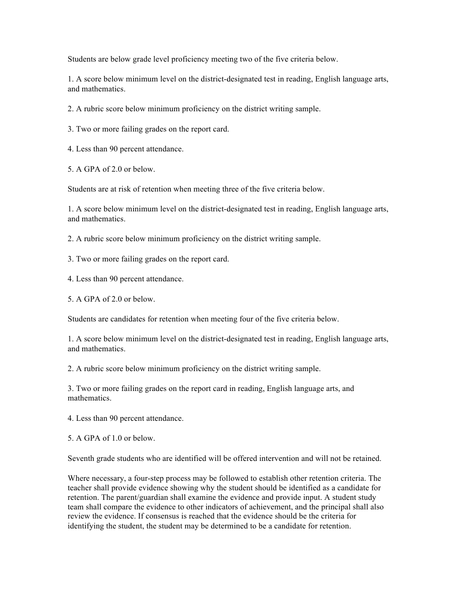Students are below grade level proficiency meeting two of the five criteria below.

1. A score below minimum level on the district-designated test in reading, English language arts, and mathematics.

2. A rubric score below minimum proficiency on the district writing sample.

3. Two or more failing grades on the report card.

4. Less than 90 percent attendance.

5. A GPA of 2.0 or below.

Students are at risk of retention when meeting three of the five criteria below.

1. A score below minimum level on the district-designated test in reading, English language arts, and mathematics.

2. A rubric score below minimum proficiency on the district writing sample.

3. Two or more failing grades on the report card.

4. Less than 90 percent attendance.

5. A GPA of 2.0 or below.

Students are candidates for retention when meeting four of the five criteria below.

1. A score below minimum level on the district-designated test in reading, English language arts, and mathematics.

2. A rubric score below minimum proficiency on the district writing sample.

3. Two or more failing grades on the report card in reading, English language arts, and mathematics.

4. Less than 90 percent attendance.

5. A GPA of 1.0 or below.

Seventh grade students who are identified will be offered intervention and will not be retained.

Where necessary, a four-step process may be followed to establish other retention criteria. The teacher shall provide evidence showing why the student should be identified as a candidate for retention. The parent/guardian shall examine the evidence and provide input. A student study team shall compare the evidence to other indicators of achievement, and the principal shall also review the evidence. If consensus is reached that the evidence should be the criteria for identifying the student, the student may be determined to be a candidate for retention.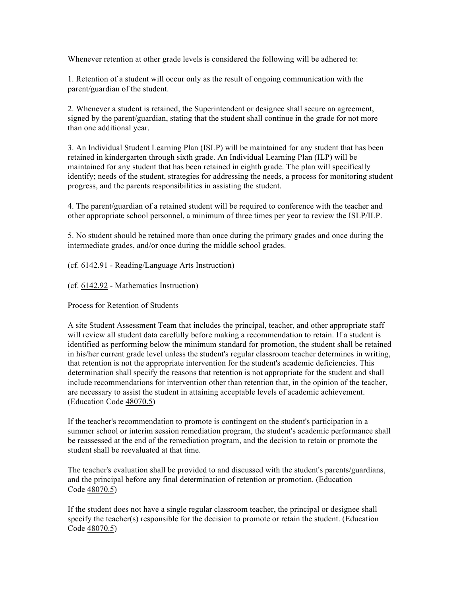Whenever retention at other grade levels is considered the following will be adhered to:

1. Retention of a student will occur only as the result of ongoing communication with the parent/guardian of the student.

2. Whenever a student is retained, the Superintendent or designee shall secure an agreement, signed by the parent/guardian, stating that the student shall continue in the grade for not more than one additional year.

3. An Individual Student Learning Plan (ISLP) will be maintained for any student that has been retained in kindergarten through sixth grade. An Individual Learning Plan (ILP) will be maintained for any student that has been retained in eighth grade. The plan will specifically identify; needs of the student, strategies for addressing the needs, a process for monitoring student progress, and the parents responsibilities in assisting the student.

4. The parent/guardian of a retained student will be required to conference with the teacher and other appropriate school personnel, a minimum of three times per year to review the ISLP/ILP.

5. No student should be retained more than once during the primary grades and once during the intermediate grades, and/or once during the middle school grades.

(cf. 6142.91 - Reading/Language Arts Instruction)

(cf. 6142.92 - Mathematics Instruction)

Process for Retention of Students

A site Student Assessment Team that includes the principal, teacher, and other appropriate staff will review all student data carefully before making a recommendation to retain. If a student is identified as performing below the minimum standard for promotion, the student shall be retained in his/her current grade level unless the student's regular classroom teacher determines in writing, that retention is not the appropriate intervention for the student's academic deficiencies. This determination shall specify the reasons that retention is not appropriate for the student and shall include recommendations for intervention other than retention that, in the opinion of the teacher, are necessary to assist the student in attaining acceptable levels of academic achievement. (Education Code 48070.5)

If the teacher's recommendation to promote is contingent on the student's participation in a summer school or interim session remediation program, the student's academic performance shall be reassessed at the end of the remediation program, and the decision to retain or promote the student shall be reevaluated at that time.

The teacher's evaluation shall be provided to and discussed with the student's parents/guardians, and the principal before any final determination of retention or promotion. (Education Code 48070.5)

If the student does not have a single regular classroom teacher, the principal or designee shall specify the teacher(s) responsible for the decision to promote or retain the student. (Education Code 48070.5)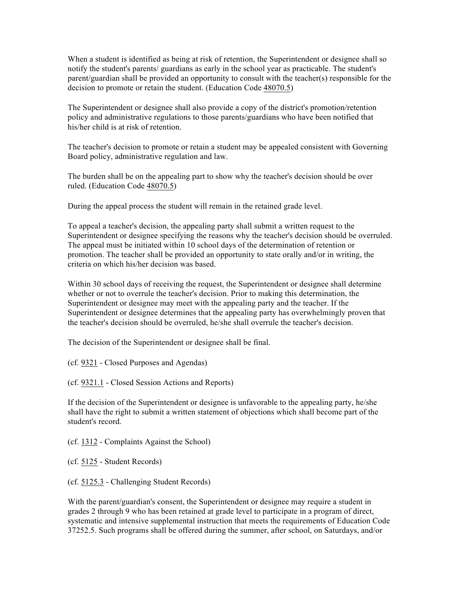When a student is identified as being at risk of retention, the Superintendent or designee shall so notify the student's parents/ guardians as early in the school year as practicable. The student's parent/guardian shall be provided an opportunity to consult with the teacher(s) responsible for the decision to promote or retain the student. (Education Code 48070.5)

The Superintendent or designee shall also provide a copy of the district's promotion/retention policy and administrative regulations to those parents/guardians who have been notified that his/her child is at risk of retention.

The teacher's decision to promote or retain a student may be appealed consistent with Governing Board policy, administrative regulation and law.

The burden shall be on the appealing part to show why the teacher's decision should be over ruled. (Education Code 48070.5)

During the appeal process the student will remain in the retained grade level.

To appeal a teacher's decision, the appealing party shall submit a written request to the Superintendent or designee specifying the reasons why the teacher's decision should be overruled. The appeal must be initiated within 10 school days of the determination of retention or promotion. The teacher shall be provided an opportunity to state orally and/or in writing, the criteria on which his/her decision was based.

Within 30 school days of receiving the request, the Superintendent or designee shall determine whether or not to overrule the teacher's decision. Prior to making this determination, the Superintendent or designee may meet with the appealing party and the teacher. If the Superintendent or designee determines that the appealing party has overwhelmingly proven that the teacher's decision should be overruled, he/she shall overrule the teacher's decision.

The decision of the Superintendent or designee shall be final.

(cf. 9321 - Closed Purposes and Agendas)

(cf. 9321.1 - Closed Session Actions and Reports)

If the decision of the Superintendent or designee is unfavorable to the appealing party, he/she shall have the right to submit a written statement of objections which shall become part of the student's record.

(cf. 1312 - Complaints Against the School)

(cf. 5125 - Student Records)

(cf. 5125.3 - Challenging Student Records)

With the parent/guardian's consent, the Superintendent or designee may require a student in grades 2 through 9 who has been retained at grade level to participate in a program of direct, systematic and intensive supplemental instruction that meets the requirements of Education Code 37252.5. Such programs shall be offered during the summer, after school, on Saturdays, and/or